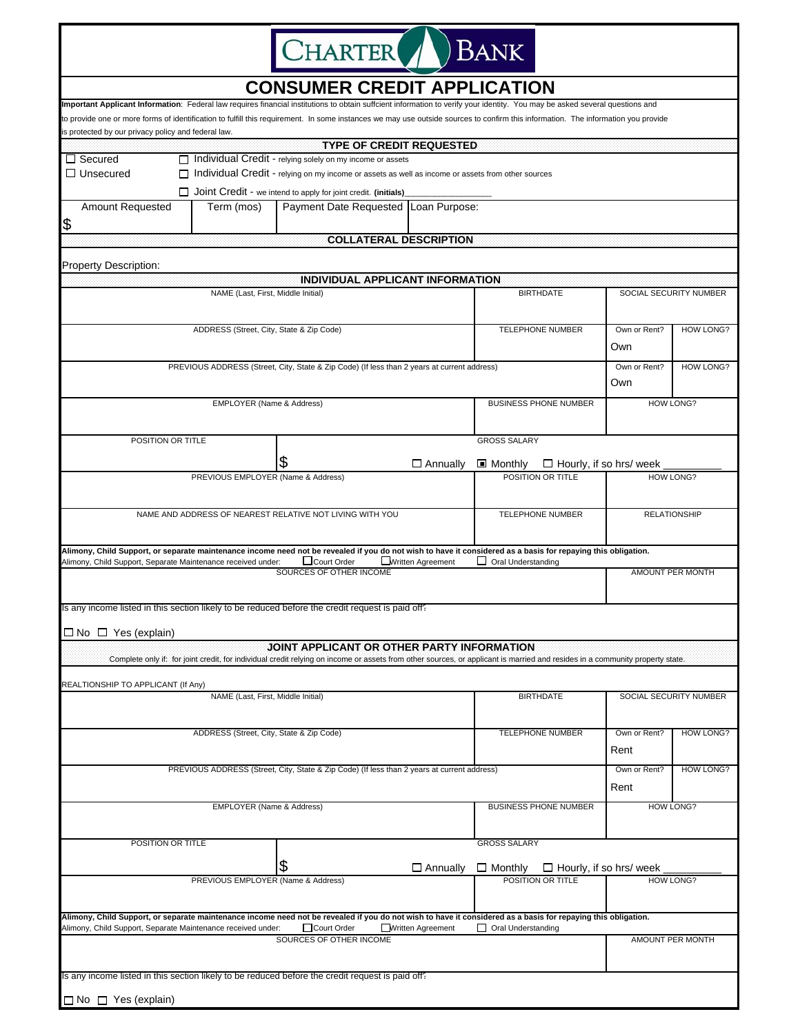

## **CONSUMER CREDIT APPLICATION**

| Important Applicant Information: Federal law requires financial institutions to obtain suffcient information to verify your identity. You may be asked several questions and                                                             |                                                                                                     |                              |                                                    |                        |                  |  |
|------------------------------------------------------------------------------------------------------------------------------------------------------------------------------------------------------------------------------------------|-----------------------------------------------------------------------------------------------------|------------------------------|----------------------------------------------------|------------------------|------------------|--|
| to provide one or more forms of identification to fulfill this requirement. In some instances we may use outside sources to confirm this information. The information you provide<br>is protected by our privacy policy and federal law. |                                                                                                     |                              |                                                    |                        |                  |  |
|                                                                                                                                                                                                                                          | <b>TYPE OF CREDIT REQUESTED</b>                                                                     |                              |                                                    |                        |                  |  |
| $\Box$ Secured                                                                                                                                                                                                                           | $\Box$ Individual Credit - relying solely on my income or assets                                    |                              |                                                    |                        |                  |  |
| $\Box$ Unsecured                                                                                                                                                                                                                         | □ Individual Credit - relying on my income or assets as well as income or assets from other sources |                              |                                                    |                        |                  |  |
|                                                                                                                                                                                                                                          | $\Box$ Joint Credit - we intend to apply for joint credit. (initials)                               |                              |                                                    |                        |                  |  |
| Amount Requested<br>Term (mos)                                                                                                                                                                                                           | <b>Payment Date Requested</b>                                                                       | Loan Purpose:                |                                                    |                        |                  |  |
| \$                                                                                                                                                                                                                                       |                                                                                                     |                              |                                                    |                        |                  |  |
|                                                                                                                                                                                                                                          | <b>COLLATERAL DESCRIPTION</b>                                                                       |                              |                                                    |                        |                  |  |
|                                                                                                                                                                                                                                          |                                                                                                     |                              |                                                    |                        |                  |  |
| Property Description:                                                                                                                                                                                                                    |                                                                                                     |                              |                                                    |                        |                  |  |
| INDIVIDUAL APPLICANT INFORMATION                                                                                                                                                                                                         |                                                                                                     |                              |                                                    |                        |                  |  |
| NAME (Last, First, Middle Initial)                                                                                                                                                                                                       |                                                                                                     |                              | <b>BIRTHDATE</b>                                   | SOCIAL SECURITY NUMBER |                  |  |
|                                                                                                                                                                                                                                          |                                                                                                     |                              |                                                    |                        |                  |  |
| ADDRESS (Street, City, State & Zip Code)                                                                                                                                                                                                 |                                                                                                     |                              | <b>TELEPHONE NUMBER</b>                            | Own or Rent?           | <b>HOW LONG?</b> |  |
|                                                                                                                                                                                                                                          |                                                                                                     |                              | Own                                                |                        |                  |  |
| PREVIOUS ADDRESS (Street, City, State & Zip Code) (If less than 2 years at current address)                                                                                                                                              |                                                                                                     |                              | Own or Rent?                                       | HOW LONG?              |                  |  |
|                                                                                                                                                                                                                                          |                                                                                                     |                              |                                                    | Own                    |                  |  |
| EMPLOYER (Name & Address)                                                                                                                                                                                                                |                                                                                                     |                              | <b>BUSINESS PHONE NUMBER</b>                       | <b>HOW LONG?</b>       |                  |  |
|                                                                                                                                                                                                                                          |                                                                                                     |                              |                                                    |                        |                  |  |
|                                                                                                                                                                                                                                          |                                                                                                     |                              |                                                    |                        |                  |  |
| POSITION OR TITLE                                                                                                                                                                                                                        |                                                                                                     |                              | <b>GROSS SALARY</b>                                |                        |                  |  |
|                                                                                                                                                                                                                                          | \$                                                                                                  | $\Box$ Annually              | <b>■ Monthly</b><br>$\Box$ Hourly, if so hrs/ week |                        |                  |  |
| PREVIOUS EMPLOYER (Name & Address)                                                                                                                                                                                                       |                                                                                                     |                              | POSITION OR TITLE                                  | <b>HOW LONG?</b>       |                  |  |
|                                                                                                                                                                                                                                          |                                                                                                     |                              |                                                    |                        |                  |  |
|                                                                                                                                                                                                                                          |                                                                                                     |                              | <b>TELEPHONE NUMBER</b>                            |                        |                  |  |
| NAME AND ADDRESS OF NEAREST RELATIVE NOT LIVING WITH YOU                                                                                                                                                                                 |                                                                                                     |                              |                                                    | <b>RELATIONSHIP</b>    |                  |  |
|                                                                                                                                                                                                                                          |                                                                                                     |                              |                                                    |                        |                  |  |
| Alimony, Child Support, or separate maintenance income need not be revealed if you do not wish to have it considered as a basis for repaying this obligation.                                                                            |                                                                                                     |                              |                                                    |                        |                  |  |
| Alimony, Child Support, Separate Maintenance received under:                                                                                                                                                                             | <b>LWritten Agreement</b><br>□Court Order<br>SOURCES OF OTHER INCOME                                |                              | $\Box$ Oral Understanding                          | AMOUNT PER MONTH       |                  |  |
|                                                                                                                                                                                                                                          |                                                                                                     |                              |                                                    |                        |                  |  |
| Is any income listed in this section likely to be reduced before the credit request is paid off?                                                                                                                                         |                                                                                                     |                              |                                                    |                        |                  |  |
|                                                                                                                                                                                                                                          |                                                                                                     |                              |                                                    |                        |                  |  |
| $\Box$ No $\Box$ Yes (explain)                                                                                                                                                                                                           |                                                                                                     |                              |                                                    |                        |                  |  |
|                                                                                                                                                                                                                                          | JOINT APPLICANT OR OTHER PARTY INFORMATION                                                          |                              |                                                    |                        |                  |  |
| Complete only if: for joint credit, for individual credit relying on income or assets from other sources, or applicant is married and resides in a community property state.                                                             |                                                                                                     |                              |                                                    |                        |                  |  |
| REALTIONSHIP TO APPLICANT (If Any)                                                                                                                                                                                                       |                                                                                                     |                              |                                                    |                        |                  |  |
| NAME (Last, First, Middle Initial)                                                                                                                                                                                                       |                                                                                                     |                              | <b>BIRTHDATE</b>                                   | SOCIAL SECURITY NUMBER |                  |  |
|                                                                                                                                                                                                                                          |                                                                                                     |                              |                                                    |                        |                  |  |
| ADDRESS (Street, City, State & Zip Code)                                                                                                                                                                                                 |                                                                                                     |                              | <b>TELEPHONE NUMBER</b>                            | Own or Rent?           | <b>HOW LONG?</b> |  |
|                                                                                                                                                                                                                                          |                                                                                                     |                              |                                                    | Rent                   |                  |  |
|                                                                                                                                                                                                                                          |                                                                                                     |                              |                                                    |                        |                  |  |
| PREVIOUS ADDRESS (Street, City, State & Zip Code) (If less than 2 years at current address)                                                                                                                                              |                                                                                                     |                              |                                                    | Own or Rent?           | <b>HOW LONG?</b> |  |
|                                                                                                                                                                                                                                          |                                                                                                     |                              |                                                    | Rent                   |                  |  |
| EMPLOYER (Name & Address)                                                                                                                                                                                                                |                                                                                                     | <b>BUSINESS PHONE NUMBER</b> | <b>HOW LONG?</b>                                   |                        |                  |  |
|                                                                                                                                                                                                                                          |                                                                                                     |                              |                                                    |                        |                  |  |
| POSITION OR TITLE                                                                                                                                                                                                                        |                                                                                                     |                              | <b>GROSS SALARY</b>                                |                        |                  |  |
|                                                                                                                                                                                                                                          |                                                                                                     |                              |                                                    |                        |                  |  |
|                                                                                                                                                                                                                                          | \$                                                                                                  | $\Box$ Annually              | $\Box$ Monthly<br>$\Box$ Hourly, if so hrs/ week   |                        |                  |  |
| PREVIOUS EMPLOYER (Name & Address)                                                                                                                                                                                                       |                                                                                                     |                              | POSITION OR TITLE                                  | <b>HOW LONG?</b>       |                  |  |
|                                                                                                                                                                                                                                          |                                                                                                     |                              |                                                    |                        |                  |  |
| Alimony, Child Support, or separate maintenance income need not be revealed if you do not wish to have it considered as a basis for repaying this obligation.                                                                            |                                                                                                     |                              |                                                    |                        |                  |  |
| Alimony, Child Support, Separate Maintenance received under:                                                                                                                                                                             | □ Court Order<br>Written Agreement<br>SOURCES OF OTHER INCOME                                       |                              | Oral Understanding                                 |                        |                  |  |
|                                                                                                                                                                                                                                          |                                                                                                     |                              |                                                    | AMOUNT PER MONTH       |                  |  |
|                                                                                                                                                                                                                                          |                                                                                                     |                              |                                                    |                        |                  |  |
| Is any income listed in this section likely to be reduced before the credit request is paid off?                                                                                                                                         |                                                                                                     |                              |                                                    |                        |                  |  |
| $\Box$ No $\Box$ Yes (explain)                                                                                                                                                                                                           |                                                                                                     |                              |                                                    |                        |                  |  |
|                                                                                                                                                                                                                                          |                                                                                                     |                              |                                                    |                        |                  |  |